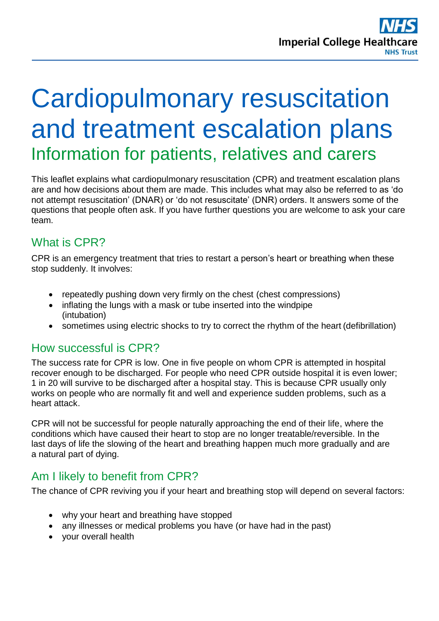# Cardiopulmonary resuscitation and treatment escalation plans Information for patients, relatives and carers

This leaflet explains what cardiopulmonary resuscitation (CPR) and treatment escalation plans are and how decisions about them are made. This includes what may also be referred to as 'do not attempt resuscitation' (DNAR) or 'do not resuscitate' (DNR) orders. It answers some of the questions that people often ask. If you have further questions you are welcome to ask your care team.

# What is CPR?

CPR is an emergency treatment that tries to restart a person's heart or breathing when these stop suddenly. It involves:

- repeatedly pushing down very firmly on the chest (chest compressions)
- inflating the lungs with a mask or tube inserted into the windpipe (intubation)
- sometimes using electric shocks to try to correct the rhythm of the heart (defibrillation)

#### How successful is CPR?

The success rate for CPR is low. One in five people on whom CPR is attempted in hospital recover enough to be discharged. For people who need CPR outside hospital it is even lower; 1 in 20 will survive to be discharged after a hospital stay. This is because CPR usually only works on people who are normally fit and well and experience sudden problems, such as a heart attack.

CPR will not be successful for people naturally approaching the end of their life, where the conditions which have caused their heart to stop are no longer treatable/reversible. In the last days of life the slowing of the heart and breathing happen much more gradually and are a natural part of dying.

# Am I likely to benefit from CPR?

The chance of CPR reviving you if your heart and breathing stop will depend on several factors:

- why your heart and breathing have stopped
- any illnesses or medical problems you have (or have had in the past)
- your overall health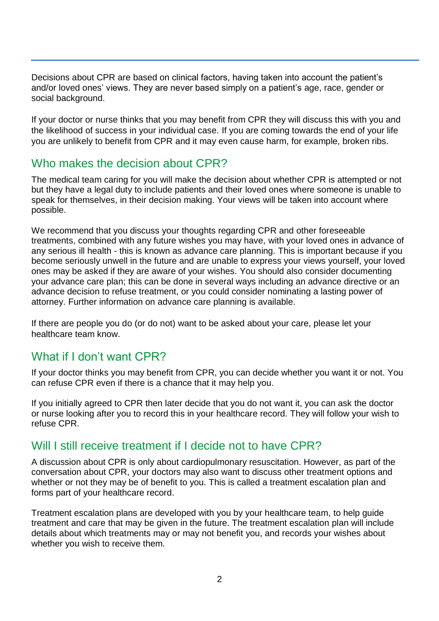Decisions about CPR are based on clinical factors, having taken into account the patient's and/or loved ones' views. They are never based simply on a patient's age, race, gender or social background.

If your doctor or nurse thinks that you may benefit from CPR they will discuss this with you and the likelihood of success in your individual case. If you are coming towards the end of your life you are unlikely to benefit from CPR and it may even cause harm, for example, broken ribs.

#### Who makes the decision about CPR?

The medical team caring for you will make the decision about whether CPR is attempted or not but they have a legal duty to include patients and their loved ones where someone is unable to speak for themselves, in their decision making. Your views will be taken into account where possible.

We recommend that you discuss your thoughts regarding CPR and other foreseeable treatments, combined with any future wishes you may have, with your loved ones in advance of any serious ill health - this is known as advance care planning. This is important because if you become seriously unwell in the future and are unable to express your views yourself, your loved ones may be asked if they are aware of your wishes. You should also consider documenting your advance care plan; this can be done in several ways including an advance directive or an advance decision to refuse treatment, or you could consider nominating a lasting power of attorney. Further information on advance care planning is available.

If there are people you do (or do not) want to be asked about your care, please let your healthcare team know.

#### What if I don't want CPR?

If your doctor thinks you may benefit from CPR, you can decide whether you want it or not. You can refuse CPR even if there is a chance that it may help you.

If you initially agreed to CPR then later decide that you do not want it, you can ask the doctor or nurse looking after you to record this in your healthcare record. They will follow your wish to refuse CPR.

#### Will I still receive treatment if I decide not to have CPR?

A discussion about CPR is only about cardiopulmonary resuscitation. However, as part of the conversation about CPR, your doctors may also want to discuss other treatment options and whether or not they may be of benefit to you. This is called a treatment escalation plan and forms part of your healthcare record.

Treatment escalation plans are developed with you by your healthcare team, to help guide treatment and care that may be given in the future. The treatment escalation plan will include details about which treatments may or may not benefit you, and records your wishes about whether you wish to receive them.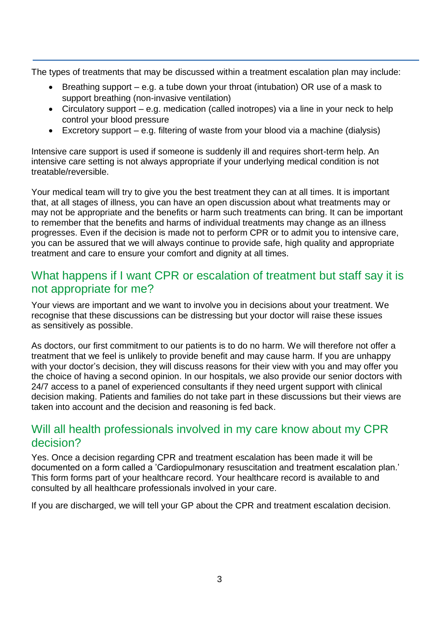The types of treatments that may be discussed within a treatment escalation plan may include:

- Breathing support e.g. a tube down your throat (intubation) OR use of a mask to support breathing (non-invasive ventilation)
- Circulatory support e.g. medication (called inotropes) via a line in your neck to help control your blood pressure
- Excretory support e.g. filtering of waste from your blood via a machine (dialysis)

Intensive care support is used if someone is suddenly ill and requires short-term help. An intensive care setting is not always appropriate if your underlying medical condition is not treatable/reversible.

Your medical team will try to give you the best treatment they can at all times. It is important that, at all stages of illness, you can have an open discussion about what treatments may or may not be appropriate and the benefits or harm such treatments can bring. It can be important to remember that the benefits and harms of individual treatments may change as an illness progresses. Even if the decision is made not to perform CPR or to admit you to intensive care, you can be assured that we will always continue to provide safe, high quality and appropriate treatment and care to ensure your comfort and dignity at all times.

## What happens if I want CPR or escalation of treatment but staff say it is not appropriate for me?

Your views are important and we want to involve you in decisions about your treatment. We recognise that these discussions can be distressing but your doctor will raise these issues as sensitively as possible.

As doctors, our first commitment to our patients is to do no harm. We will therefore not offer a treatment that we feel is unlikely to provide benefit and may cause harm. If you are unhappy with your doctor's decision, they will discuss reasons for their view with you and may offer you the choice of having a second opinion. In our hospitals, we also provide our senior doctors with 24/7 access to a panel of experienced consultants if they need urgent support with clinical decision making. Patients and families do not take part in these discussions but their views are taken into account and the decision and reasoning is fed back.

### Will all health professionals involved in my care know about my CPR decision?

Yes. Once a decision regarding CPR and treatment escalation has been made it will be documented on a form called a 'Cardiopulmonary resuscitation and treatment escalation plan.' This form forms part of your healthcare record. Your healthcare record is available to and consulted by all healthcare professionals involved in your care.

If you are discharged, we will tell your GP about the CPR and treatment escalation decision.